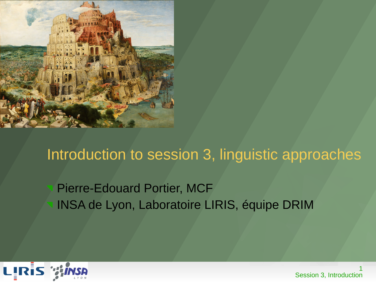

#### Introduction to session 3, linguistic approaches

#### Pierre-Edouard Portier, MCF INSA de Lyon, Laboratoire LIRIS, équipe DRIM



1 Session 3, Introduction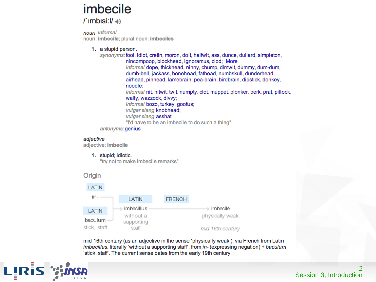#### imbecile

 $\Gamma$  imbisi: $\mathsf{I}/\mathsf{I}$ 

noun informal noun: imbecile; plural noun: imbeciles

#### 1. a stupid person.

synonyms: fool, idiot, cretin, moron, dolt, halfwit, ass, dunce, dullard, simpleton, nincompoop, blockhead, ignoramus, clod; More informal dope, thickhead, ninny, chump, dimwit, dummy, dum-dum, dumb-bell, jackass, bonehead, fathead, numbskull, dunderhead, airhead, pinhead, lamebrain, pea-brain, birdbrain, dipstick, donkey, noodle: informal nit, nitwit, twit, numpty, clot, muppet, plonker, berk, prat, pillock, wally, wazzock, divvy; informal bozo, turkey, goofus; vulgar slang knobhead; vulgar slang asshat "I'd have to be an imbecile to do such a thing"

antonyms: genius

#### adiective

adjective: imbecile

1. stupid; idiotic.

"try not to make imbecile remarks"

#### Origin



mid 16th century (as an adjective in the sense 'physically weak'): via French from Latin *imbecillus*, literally 'without a supporting staff', from *in*- (expressing negation) + baculum 'stick, staff'. The current sense dates from the early 19th century.

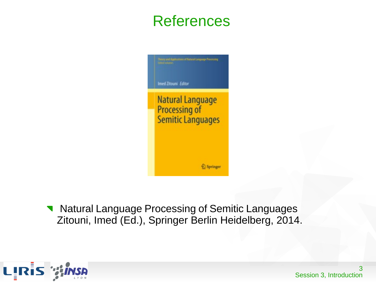#### References

Imed Zitouni Editor **Natural Language** Processing of Semitic Languages Springer

Natural Language Processing of Semitic Languages  $\blacksquare$ Zitouni, Imed (Ed.), Springer Berlin Heidelberg, 2014.

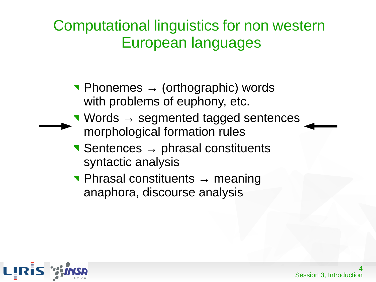#### Computational linguistics for non western European languages

- $\blacksquare$  Phonemes  $\rightarrow$  (orthographic) words with problems of euphony, etc.
- Words → segmented tagged sentences morphological formation rules
- $\blacktriangleright$  Sentences  $\rightarrow$  phrasal constituents syntactic analysis
- Phrasal constituents → meaning anaphora, discourse analysis

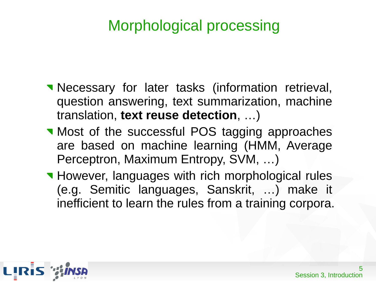- **Necessary for later tasks (information retrieval,** question answering, text summarization, machine translation, **text reuse detection**, …)
- **Most of the successful POS tagging approaches** are based on machine learning (HMM, Average Perceptron, Maximum Entropy, SVM, …)
- **However, languages with rich morphological rules** (e.g. Semitic languages, Sanskrit, …) make it inefficient to learn the rules from a training corpora.

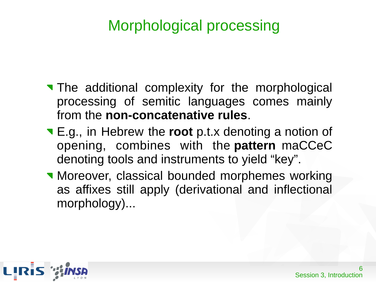- The additional complexity for the morphological processing of semitic languages comes mainly from the **non-concatenative rules**.
- E.g., in Hebrew the **root** p.t.x denoting a notion of opening, combines with the **pattern** maCCeC denoting tools and instruments to yield "key".
- **Moreover, classical bounded morphemes working** as affixes still apply (derivational and inflectional morphology)...

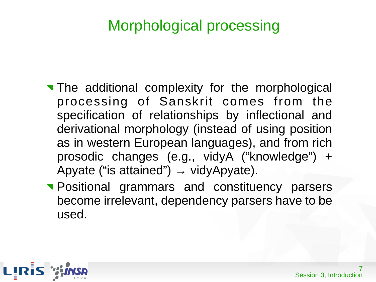- The additional complexity for the morphological processing of Sanskrit comes from the specification of relationships by inflectional and derivational morphology (instead of using position as in western European languages), and from rich prosodic changes (e.g., vidyA ("knowledge") + Apyate ("is attained")  $\rightarrow$  vidyApyate).
- **Positional grammars and constituency parsers** become irrelevant, dependency parsers have to be used.

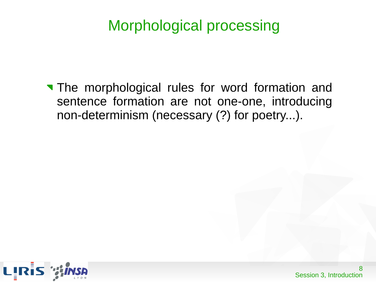The morphological rules for word formation and sentence formation are not one-one, introducing non-determinism (necessary (?) for poetry...).

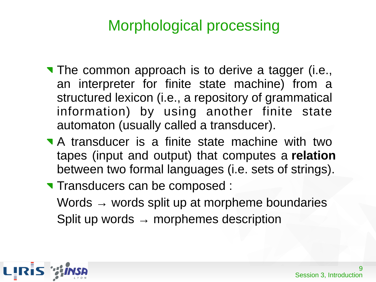- The common approach is to derive a tagger (i.e., an interpreter for finite state machine) from a structured lexicon (i.e., a repository of grammatical information) by using another finite state automaton (usually called a transducer).
- A transducer is a finite state machine with two tapes (input and output) that computes a **relation** between two formal languages (i.e. sets of strings).
- **Transducers can be composed:** Words  $\rightarrow$  words split up at morpheme boundaries Split up words  $\rightarrow$  morphemes description